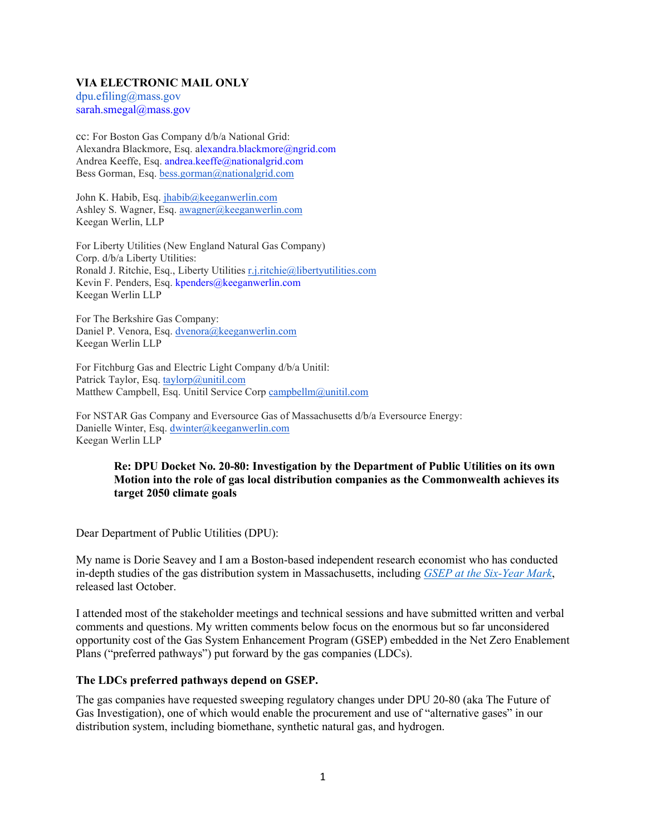## **VIA ELECTRONIC MAIL ONLY**

dpu.efiling@mass.gov sarah.smegal@mass.gov

cc: For Boston Gas Company d/b/a National Grid: Alexandra Blackmore, Esq. alexandra.blackmore@ngrid.com Andrea Keeffe, Esq. andrea.keeffe@nationalgrid.com Bess Gorman, Esq. [bess.gorman@nationalgrid.com](mailto:bess.gorman@nationalgrid.com)

John K. Habib, Esq. [jhabib@keeganwerlin.com](mailto:jhabib@keeganwerlin.com) Ashley S. Wagner, Esq. [awagner@keeganwerlin.com](mailto:awagner@keeganwerlin.com) Keegan Werlin, LLP

For Liberty Utilities (New England Natural Gas Company) Corp. d/b/a Liberty Utilities: Ronald J. Ritchie, Esq., Liberty Utilities [r.j.ritchie@libertyutilities.com](mailto:r.j.ritchie@libertyutilities.com) Kevin F. Penders, Esq. kpenders@keeganwerlin.com Keegan Werlin LLP

For The Berkshire Gas Company: Daniel P. Venora, Esq. [dvenora@keeganwerlin.com](mailto:dvenora@keeganwerlin.com) Keegan Werlin LLP

For Fitchburg Gas and Electric Light Company d/b/a Unitil: Patrick Taylor, Esq[. taylorp@unitil.com](mailto:taylorp@unitil.com) Matthew Campbell, Esq. Unitil Service Cor[p campbellm@unitil.com](mailto:campbellm@unitil.com)

For NSTAR Gas Company and Eversource Gas of Massachusetts d/b/a Eversource Energy: Danielle Winter, Esq. [dwinter@keeganwerlin.com](mailto:dwinter@keeganwerlin.com) Keegan Werlin LLP

### **Re: DPU Docket No. 20-80: Investigation by the Department of Public Utilities on its own Motion into the role of gas local distribution companies as the Commonwealth achieves its target 2050 climate goals**

Dear Department of Public Utilities (DPU):

My name is Dorie Seavey and I am a Boston-based independent research economist who has conducted in-depth studies of the gas distribution system in Massachusetts, including *[GSEP at the Six-Year Mark](https://static1.squarespace.com/static/612638ab5e31f66d7ae8f810/t/61561b8c4955b93159a753a3/1633033102069/GSEPatTheSix-YearMark.pdf)*, released last October.

I attended most of the stakeholder meetings and technical sessions and have submitted written and verbal comments and questions. My written comments below focus on the enormous but so far unconsidered opportunity cost of the Gas System Enhancement Program (GSEP) embedded in the Net Zero Enablement Plans ("preferred pathways") put forward by the gas companies (LDCs).

### **The LDCs preferred pathways depend on GSEP.**

The gas companies have requested sweeping regulatory changes under DPU 20-80 (aka The Future of Gas Investigation), one of which would enable the procurement and use of "alternative gases" in our distribution system, including biomethane, synthetic natural gas, and hydrogen.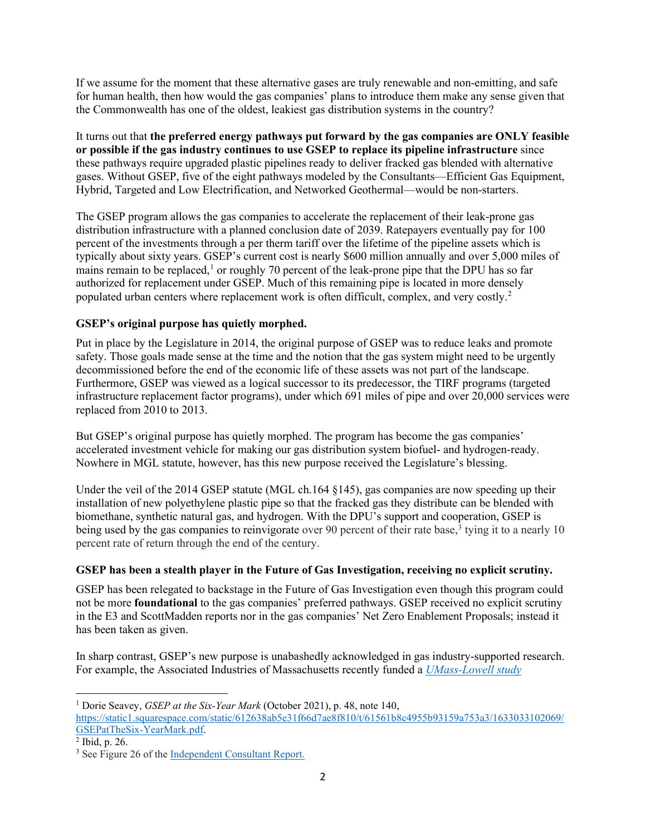If we assume for the moment that these alternative gases are truly renewable and non-emitting, and safe for human health, then how would the gas companies' plans to introduce them make any sense given that the Commonwealth has one of the oldest, leakiest gas distribution systems in the country?

It turns out that **the preferred energy pathways put forward by the gas companies are ONLY feasible or possible if the gas industry continues to use GSEP to replace its pipeline infrastructure** since these pathways require upgraded plastic pipelines ready to deliver fracked gas blended with alternative gases. Without GSEP, five of the eight pathways modeled by the Consultants—Efficient Gas Equipment, Hybrid, Targeted and Low Electrification, and Networked Geothermal—would be non-starters.

The GSEP program allows the gas companies to accelerate the replacement of their leak-prone gas distribution infrastructure with a planned conclusion date of 2039. Ratepayers eventually pay for 100 percent of the investments through a per therm tariff over the lifetime of the pipeline assets which is typically about sixty years. GSEP's current cost is nearly \$600 million annually and over 5,000 miles of mains remain to be replaced,<sup>[1](#page-1-0)</sup> or roughly 70 percent of the leak-prone pipe that the DPU has so far authorized for replacement under GSEP. Much of this remaining pipe is located in more densely populated urban centers where replacement work is often difficult, complex, and very costly.<sup>[2](#page-1-1)</sup>

# **GSEP's original purpose has quietly morphed.**

Put in place by the Legislature in 2014, the original purpose of GSEP was to reduce leaks and promote safety. Those goals made sense at the time and the notion that the gas system might need to be urgently decommissioned before the end of the economic life of these assets was not part of the landscape. Furthermore, GSEP was viewed as a logical successor to its predecessor, the TIRF programs (targeted infrastructure replacement factor programs), under which 691 miles of pipe and over 20,000 services were replaced from  $2010$  to 2013.

But GSEP's original purpose has quietly morphed. The program has become the gas companies' accelerated investment vehicle for making our gas distribution system biofuel- and hydrogen-ready. Nowhere in MGL statute, however, has this new purpose received the Legislature's blessing.

Under the veil of the 2014 GSEP statute (MGL ch.164 §145), gas companies are now speeding up their installation of new polyethylene plastic pipe so that the fracked gas they distribute can be blended with biomethane, synthetic natural gas, and hydrogen. With the DPU's support and cooperation, GSEP is being used by the gas companies to reinvigorate over 90 percent of their rate base,  $\frac{3}{3}$  $\frac{3}{3}$  $\frac{3}{3}$  tying it to a nearly 10 percent rate of return through the end of the century.

# **GSEP has been a stealth player in the Future of Gas Investigation, receiving no explicit scrutiny.**

GSEP has been relegated to backstage in the Future of Gas Investigation even though this program could not be more **foundational** to the gas companies' preferred pathways. GSEP received no explicit scrutiny in the E3 and ScottMadden reports nor in the gas companies' Net Zero Enablement Proposals; instead it has been taken as given.

In sharp contrast, GSEP's new purpose is unabashedly acknowledged in gas industry-supported research. For example, the Associated Industries of Massachusetts recently funded a *[UMass-Lowell study](https://futureofhydrogen.org/)*

<span id="page-1-0"></span><sup>1</sup> Dorie Seavey, *GSEP at the Six-Year Mark* (October 2021), p. 48, note 140, [https://static1.squarespace.com/static/612638ab5e31f66d7ae8f810/t/61561b8c4955b93159a753a3/1633033102069/](https://static1.squarespace.com/static/612638ab5e31f66d7ae8f810/t/61561b8c4955b93159a753a3/1633033102069/GSEPatTheSix-YearMark.pdf) [GSEPatTheSix-YearMark.pdf.](https://static1.squarespace.com/static/612638ab5e31f66d7ae8f810/t/61561b8c4955b93159a753a3/1633033102069/GSEPatTheSix-YearMark.pdf)

<span id="page-1-1"></span><sup>2</sup> Ibid, p. 26.

<span id="page-1-2"></span><sup>&</sup>lt;sup>3</sup> See Figure 26 of the [Independent Consultant Report.](https://thefutureofgas.com/sep)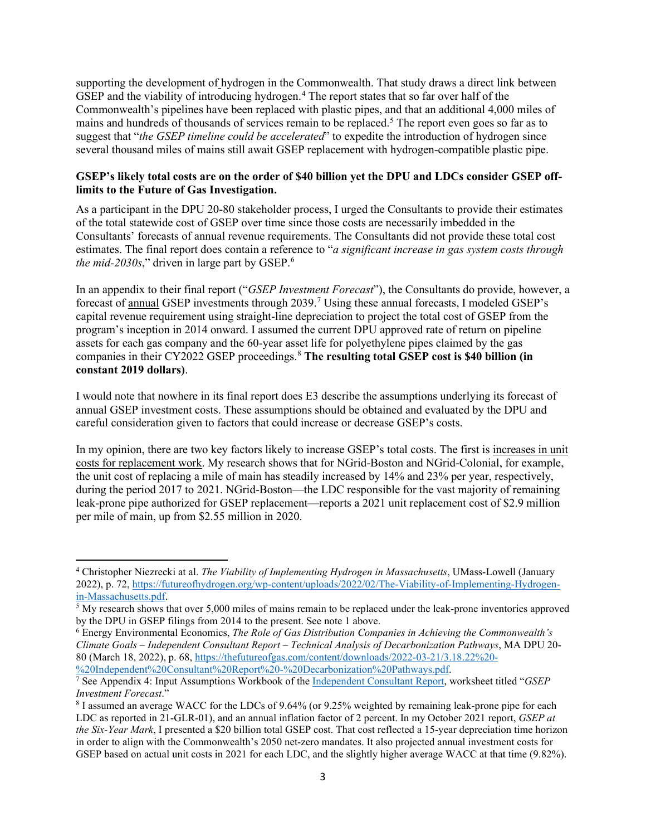supporting the development of hydrogen in the Commonwealth. That study draws a direct link between GSEP and the viability of introducing hydrogen.<sup>[4](#page-2-0)</sup> The report states that so far over half of the Commonwealth's pipelines have been replaced with plastic pipes, and that an additional 4,000 miles of mains and hundreds of thousands of services remain to be replaced.[5](#page-2-1) The report even goes so far as to suggest that "*the GSEP timeline could be accelerated*" to expedite the introduction of hydrogen since several thousand miles of mains still await GSEP replacement with hydrogen-compatible plastic pipe.

## **GSEP's likely total costs are on the order of \$40 billion yet the DPU and LDCs consider GSEP offlimits to the Future of Gas Investigation.**

As a participant in the DPU 20-80 stakeholder process, I urged the Consultants to provide their estimates of the total statewide cost of GSEP over time since those costs are necessarily imbedded in the Consultants' forecasts of annual revenue requirements. The Consultants did not provide these total cost estimates. The final report does contain a reference to "*a significant increase in gas system costs through the mid-2030s*," driven in large part by GSEP.[6](#page-2-2)

In an appendix to their final report ("*GSEP Investment Forecast*"), the Consultants do provide, however, a forecast of annual GSEP investments through 2039.[7](#page-2-3) Using these annual forecasts, I modeled GSEP's capital revenue requirement using straight-line depreciation to project the total cost of GSEP from the program's inception in 2014 onward. I assumed the current DPU approved rate of return on pipeline assets for each gas company and the 60-year asset life for polyethylene pipes claimed by the gas companies in their CY2022 GSEP proceedings.[8](#page-2-4) **The resulting total GSEP cost is \$40 billion (in constant 2019 dollars)**.

I would note that nowhere in its final report does E3 describe the assumptions underlying its forecast of annual GSEP investment costs. These assumptions should be obtained and evaluated by the DPU and careful consideration given to factors that could increase or decrease GSEP's costs.

In my opinion, there are two key factors likely to increase GSEP's total costs. The first is increases in unit costs for replacement work. My research shows that for NGrid-Boston and NGrid-Colonial, for example, the unit cost of replacing a mile of main has steadily increased by 14% and 23% per year, respectively, during the period 2017 to 2021. NGrid-Boston—the LDC responsible for the vast majority of remaining leak-prone pipe authorized for GSEP replacement—reports a 2021 unit replacement cost of \$2.9 million per mile of main, up from \$2.55 million in 2020.

<span id="page-2-0"></span><sup>4</sup> Christopher Niezrecki at al. *The Viability of Implementing Hydrogen in Massachusetts*, UMass-Lowell (January 2022), p. 72, https://futureofhydrogen.org/wp-content/uploads/2022/02/The-Viability-of-Implementing-Hydrogen-<br>in-Massachusetts.pdf

<span id="page-2-1"></span> $5$  My research shows that over 5,000 miles of mains remain to be replaced under the leak-prone inventories approved by the DPU in GSEP filings from 2014 to the present. See note 1 above.

<span id="page-2-2"></span><sup>&</sup>lt;sup>6</sup> Energy Environmental Economics, *The Role of Gas Distribution Companies in Achieving the Commonwealth's Climate Goals – Independent Consultant Report – Technical Analysis of Decarbonization Pathways*, MA DPU 20 80 (March 18, 2022), p. 68, [https://thefutureofgas.com/content/downloads/2022-03-21/3.18.22%20-](https://thefutureofgas.com/content/downloads/2022-03-21/3.18.22%20-%20Independent%20Consultant%20Report%20-%20Decarbonization%20Pathways.pdf)<br>%20Independent%20Consultant%20Report%20-%20Decarbonization%20Pathways.pdf

<span id="page-2-3"></span><sup>&</sup>lt;sup>7</sup> See Appendix 4: Input Assumptions Workbook of the <u>Independent Consultant Report</u>, worksheet titled "*GSEP Investment Forecast.*"

<span id="page-2-4"></span><sup>&</sup>lt;sup>8</sup> I assumed an average WACC for the LDCs of 9.64% (or 9.25% weighted by remaining leak-prone pipe for each LDC as reported in 21-GLR-01), and an annual inflation factor of 2 percent. In my October 2021 report, *GSEP at the Six-Year Mark*, I presented a \$20 billion total GSEP cost. That cost reflected a 15-year depreciation time horizon in order to align with the Commonwealth's 2050 net-zero mandates. It also projected annual investment costs for GSEP based on actual unit costs in 2021 for each LDC, and the slightly higher average WACC at that time (9.82%).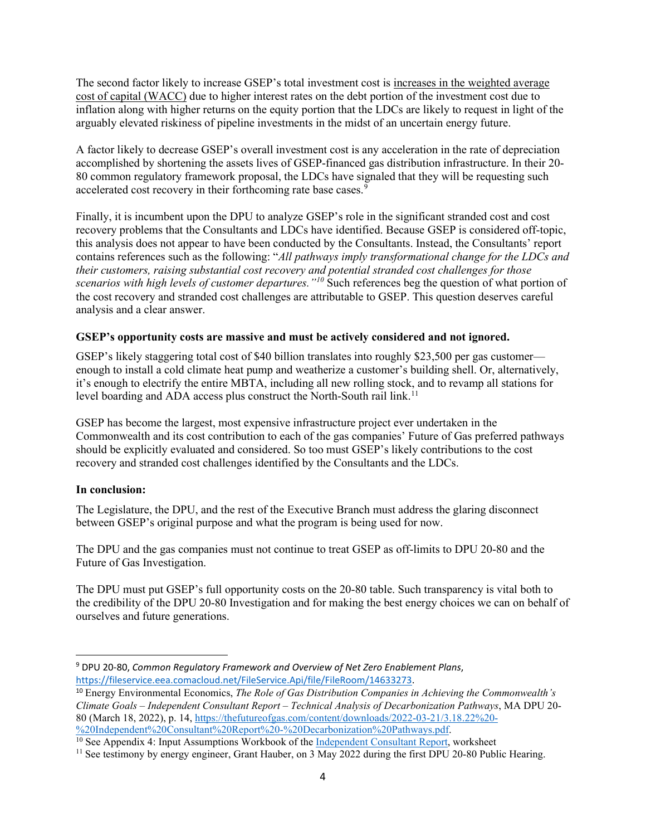The second factor likely to increase GSEP's total investment cost is increases in the weighted average cost of capital (WACC) due to higher interest rates on the debt portion of the investment cost due to inflation along with higher returns on the equity portion that the LDCs are likely to request in light of the arguably elevated riskiness of pipeline investments in the midst of an uncertain energy future.

A factor likely to decrease GSEP's overall investment cost is any acceleration in the rate of depreciation accomplished by shortening the assets lives of GSEP-financed gas distribution infrastructure. In their 20- 80 common regulatory framework proposal, the LDCs have signaled that they will be requesting such accelerated cost recovery in their forthcoming rate base cases.<sup>[9](#page-3-0)</sup>

Finally, it is incumbent upon the DPU to analyze GSEP's role in the significant stranded cost and cost recovery problems that the Consultants and LDCs have identified. Because GSEP is considered off-topic, this analysis does not appear to have been conducted by the Consultants. Instead, the Consultants' report contains references such as the following: "*All pathways imply transformational change for the LDCs and their customers, raising substantial cost recovery and potential stranded cost challenges for those scenarios with high levels of customer departures."[10](#page-3-1)* Such references beg the question of what portion of the cost recovery and stranded cost challenges are attributable to GSEP. This question deserves careful analysis and a clear answer.

# **GSEP's opportunity costs are massive and must be actively considered and not ignored.**

GSEP's likely staggering total cost of \$40 billion translates into roughly \$23,500 per gas customer enough to install a cold climate heat pump and weatherize a customer's building shell. Or, alternatively, it's enough to electrify the entire MBTA, including all new rolling stock, and to revamp all stations for level boarding and ADA access plus construct the North-South rail link.<sup>[11](#page-3-2)</sup>

GSEP has become the largest, most expensive infrastructure project ever undertaken in the Commonwealth and its cost contribution to each of the gas companies' Future of Gas preferred pathways should be explicitly evaluated and considered. So too must GSEP's likely contributions to the cost recovery and stranded cost challenges identified by the Consultants and the LDCs.

### **In conclusion:**

The Legislature, the DPU, and the rest of the Executive Branch must address the glaring disconnect between GSEP's original purpose and what the program is being used for now.

The DPU and the gas companies must not continue to treat GSEP as off-limits to DPU 20-80 and the Future of Gas Investigation.

The DPU must put GSEP's full opportunity costs on the 20-80 table. Such transparency is vital both to the credibility of the DPU 20-80 Investigation and for making the best energy choices we can on behalf of ourselves and future generations.

 $\frac{10}{10}$  See Appendix 4: Input Assumptions Workbook of the <u>Independent Consultant Report</u>, worksheet

<span id="page-3-0"></span><sup>9</sup> DPU 20-80, *Common Regulatory Framework and Overview of Net Zero Enablement Plans*,

<span id="page-3-1"></span>[https://fileservice.eea.comacloud.net/FileService.Api/file/FileRoom/14633273.](https://fileservice.eea.comacloud.net/FileService.Api/file/FileRoom/14633273) 10 Energy Environmental Economics, *The Role of Gas Distribution Companies in Achieving the Commonwealth's Climate Goals – Independent Consultant Report – Technical Analysis of Decarbonization Pathways*, MA DPU 20 80 (March 18, 2022), p. 14, [https://thefutureofgas.com/content/downloads/2022-03-21/3.18.22%20-](https://thefutureofgas.com/content/downloads/2022-03-21/3.18.22%20-%20Independent%20Consultant%20Report%20-%20Decarbonization%20Pathways.pdf)<br>%20Independent%20Consultant%20Report%20-%20Decarbonization%20Pathways.pdf.

<span id="page-3-2"></span><sup>&</sup>lt;sup>11</sup> See testimony by energy engineer, Grant Hauber, on 3 May 2022 during the first DPU 20-80 Public Hearing.